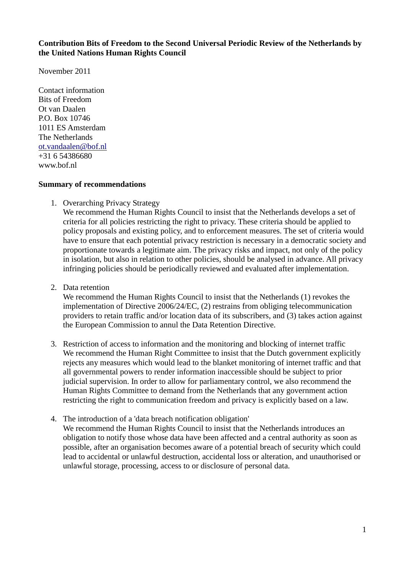## **Contribution Bits of Freedom to the Second Universal Periodic Review of the Netherlands by the United Nations Human Rights Council**

November 2011

Contact information Bits of Freedom Ot van Daalen P.O. Box 10746 1011 ES Amsterdam The Netherlands [ot.vandaalen@bof.nl](mailto:ot.vandaalen@bof.nl) +31 6 54386680 www.bof.nl

#### **Summary of recommendations**

1. Overarching Privacy Strategy

We recommend the Human Rights Council to insist that the Netherlands develops a set of criteria for all policies restricting the right to privacy. These criteria should be applied to policy proposals and existing policy, and to enforcement measures. The set of criteria would have to ensure that each potential privacy restriction is necessary in a democratic society and proportionate towards a legitimate aim. The privacy risks and impact, not only of the policy in isolation, but also in relation to other policies, should be analysed in advance. All privacy infringing policies should be periodically reviewed and evaluated after implementation.

2. Data retention

We recommend the Human Rights Council to insist that the Netherlands (1) revokes the implementation of Directive 2006/24/EC, (2) restrains from obliging telecommunication providers to retain traffic and/or location data of its subscribers, and (3) takes action against the European Commission to annul the Data Retention Directive.

- 3. Restriction of access to information and the monitoring and blocking of internet traffic We recommend the Human Right Committee to insist that the Dutch government explicitly rejects any measures which would lead to the blanket monitoring of internet traffic and that all governmental powers to render information inaccessible should be subject to prior judicial supervision. In order to allow for parliamentary control, we also recommend the Human Rights Committee to demand from the Netherlands that any government action restricting the right to communication freedom and privacy is explicitly based on a law.
- 4. The introduction of a 'data breach notification obligation' We recommend the Human Rights Council to insist that the Netherlands introduces an obligation to notify those whose data have been affected and a central authority as soon as possible, after an organisation becomes aware of a potential breach of security which could lead to accidental or unlawful destruction, accidental loss or alteration, and unauthorised or unlawful storage, processing, access to or disclosure of personal data.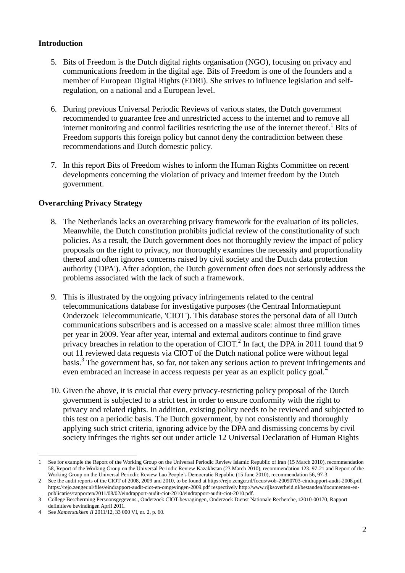# **Introduction**

- 5. Bits of Freedom is the Dutch digital rights organisation (NGO), focusing on privacy and communications freedom in the digital age. Bits of Freedom is one of the founders and a member of European Digital Rights (EDRi). She strives to influence legislation and selfregulation, on a national and a European level.
- 6. During previous Universal Periodic Reviews of various states, the Dutch government recommended to guarantee free and unrestricted access to the internet and to remove all internet monitoring and control facilities restricting the use of the internet thereof.<sup>1</sup> Bits of Freedom supports this foreign policy but cannot deny the contradiction between these recommendations and Dutch domestic policy.
- 7. In this report Bits of Freedom wishes to inform the Human Rights Committee on recent developments concerning the violation of privacy and internet freedom by the Dutch government.

## **Overarching Privacy Strategy**

- 8. The Netherlands lacks an overarching privacy framework for the evaluation of its policies. Meanwhile, the Dutch constitution prohibits judicial review of the constitutionality of such policies. As a result, the Dutch government does not thoroughly review the impact of policy proposals on the right to privacy, nor thoroughly examines the necessity and proportionality thereof and often ignores concerns raised by civil society and the Dutch data protection authority ('DPA'). After adoption, the Dutch government often does not seriously address the problems associated with the lack of such a framework.
- 9. This is illustrated by the ongoing privacy infringements related to the central telecommunications database for investigative purposes (the Centraal Informatiepunt Onderzoek Telecommunicatie, 'CIOT'). This database stores the personal data of all Dutch communications subscribers and is accessed on a massive scale: almost three million times per year in 2009. Year after year, internal and external auditors continue to find grave privacy breaches in relation to the operation of CIOT.<sup>2</sup> In fact, the DPA in 2011 found that 9 out 11 reviewed data requests via CIOT of the Dutch national police were without legal basis.<sup>3</sup> The government has, so far, not taken any serious action to prevent infringements and even embraced an increase in access requests per year as an explicit policy goal.<sup>4</sup>
- 10. Given the above, it is crucial that every privacy-restricting policy proposal of the Dutch government is subjected to a strict test in order to ensure conformity with the right to privacy and related rights. In addition, existing policy needs to be reviewed and subjected to this test on a periodic basis. The Dutch government, by not consistently and thoroughly applying such strict criteria, ignoring advice by the DPA and dismissing concerns by civil society infringes the rights set out under article 12 Universal Declaration of Human Rights

1

<sup>1</sup> See for example the Report of the Working Group on the Universal Periodic Review Islamic Republic of Iran (15 March 2010), recommendation 58, Report of the Working Group on the Universal Periodic Review Kazakhstan (23 March 2010), recommendation 123. 97-21 and Report of the Working Group on the Universal Periodic Review Lao People's Democratic Republic (15 June 2010), recommendation 56, 97-3.

<sup>2</sup> See the audit reports of the CIOT of 2008, 2009 and 2010, to be found at https://rejo.zenger.nl/focus/wob-20090703-eindrapport-audit-2008.pdf, https://rejo.zenger.nl/files/eindrapport-audit-ciot-en-omgevingen-2009.pdf respectively http://www.rijksoverheid.nl/bestanden/documenten-enpublicaties/rapporten/2011/08/02/eindrapport-audit-ciot-2010/eindrapport-audit-ciot-2010.pdf.

<sup>3</sup> College Bescherming Persoonsgegevens., Onderzoek CIOT-bevragingen, Onderzoek Dienst Nationale Recherche, z2010-00170, Rapport definitieve bevindingen April 2011.

<sup>4</sup> See *Kamerstukken II* 2011/12, 33 000 VI, nr. 2, p. 60.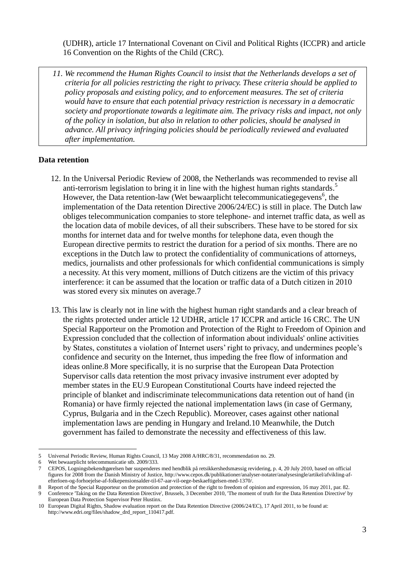(UDHR), article 17 International Covenant on Civil and Political Rights (ICCPR) and article 16 Convention on the Rights of the Child (CRC).

*11. We recommend the Human Rights Council to insist that the Netherlands develops a set of criteria for all policies restricting the right to privacy. These criteria should be applied to policy proposals and existing policy, and to enforcement measures. The set of criteria would have to ensure that each potential privacy restriction is necessary in a democratic society and proportionate towards a legitimate aim. The privacy risks and impact, not only of the policy in isolation, but also in relation to other policies, should be analysed in advance. All privacy infringing policies should be periodically reviewed and evaluated after implementation.*

## **Data retention**

- 12. In the Universal Periodic Review of 2008, the Netherlands was recommended to revise all anti-terrorism legislation to bring it in line with the highest human rights standards.<sup>5</sup> However, the Data retention-law (Wet bewaarplicht telecommunicatiegegevens<sup>6</sup>, the implementation of the Data retention Directive 2006/24/EC) is still in place. The Dutch law obliges telecommunication companies to store telephone- and internet traffic data, as well as the location data of mobile devices, of all their subscribers. These have to be stored for six months for internet data and for twelve months for telephone data, even though the European directive permits to restrict the duration for a period of six months. There are no exceptions in the Dutch law to protect the confidentiality of communications of attorneys, medics, journalists and other professionals for which confidential communications is simply a necessity. At this very moment, millions of Dutch citizens are the victim of this privacy interference: it can be assumed that the location or traffic data of a Dutch citizen in 2010 was stored every six minutes on average.7
- 13. This law is clearly not in line with the highest human right standards and a clear breach of the rights protected under article 12 UDHR, article 17 ICCPR and article 16 CRC. The UN Special Rapporteur on the Promotion and Protection of the Right to Freedom of Opinion and Expression concluded that the collection of information about individuals' online activities by States, constitutes a violation of Internet users' right to privacy, and undermines people's confidence and security on the Internet, thus impeding the free flow of information and ideas online.8 More specifically, it is no surprise that the European Data Protection Supervisor calls data retention the most privacy invasive instrument ever adopted by member states in the EU.9 European Constitutional Courts have indeed rejected the principle of blanket and indiscriminate telecommunications data retention out of hand (in Romania) or have firmly rejected the national implementation laws (in case of Germany, Cyprus, Bulgaria and in the Czech Republic). Moreover, cases against other national implementation laws are pending in Hungary and Ireland.10 Meanwhile, the Dutch government has failed to demonstrate the necessity and effectiveness of this law.

<sup>&</sup>lt;u>.</u> 5 Universal Periodic Review, Human Rights Council, 13 May 2008 A/HRC/8/31, recommendation no. 29.

Wet bewaarplicht telecommunicatie stb. 2009/333.

<sup>7</sup> CEPOS, Logningsbekendtgørelsen bør suspenderes med hendblik på retsikkershedsmæssig revidering, p. 4, 20 July 2010, based on official figures for 2008 from the Danish Ministry of Justice, http://www.cepos.dk/publikationer/analyser-notater/analysesingle/artikel/afvikling-afefterloen-og-forhoejelse-af-folkepensionsalder-til-67-aar-vil-oege-beskaeftigelsen-med-1370/.

<sup>8</sup> Report of the Special Rapporteur on the promotion and protection of the right to freedom of opinion and expression, 16 may 2011, par. 82.

<sup>9</sup> Conference 'Taking on the Data Retention Directive', Brussels, 3 December 2010, 'The moment of truth for the Data Retention Directive' by European Data Protection Supervisor Peter Hustinx.

<sup>10</sup> European Digital Rights, Shadow evaluation report on the Data Retention Directive (2006/24/EC), 17 April 2011, to be found at: http://www.edri.org/files/shadow\_drd\_report\_110417.pdf.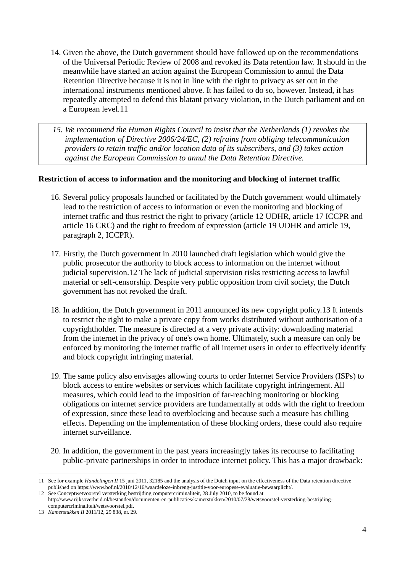- 14. Given the above, the Dutch government should have followed up on the recommendations of the Universal Periodic Review of 2008 and revoked its Data retention law. It should in the meanwhile have started an action against the European Commission to annul the Data Retention Directive because it is not in line with the right to privacy as set out in the international instruments mentioned above. It has failed to do so, however. Instead, it has repeatedly attempted to defend this blatant privacy violation, in the Dutch parliament and on a European level.11
- *15. We recommend the Human Rights Council to insist that the Netherlands (1) revokes the implementation of Directive 2006/24/EC, (2) refrains from obliging telecommunication providers to retain traffic and/or location data of its subscribers, and (3) takes action against the European Commission to annul the Data Retention Directive.*

## **Restriction of access to information and the monitoring and blocking of internet traffic**

- 16. Several policy proposals launched or facilitated by the Dutch government would ultimately lead to the restriction of access to information or even the monitoring and blocking of internet traffic and thus restrict the right to privacy (article 12 UDHR, article 17 ICCPR and article 16 CRC) and the right to freedom of expression (article 19 UDHR and article 19, paragraph 2, ICCPR).
- 17. Firstly, the Dutch government in 2010 launched draft legislation which would give the public prosecutor the authority to block access to information on the internet without judicial supervision.12 The lack of judicial supervision risks restricting access to lawful material or self-censorship. Despite very public opposition from civil society, the Dutch government has not revoked the draft.
- 18. In addition, the Dutch government in 2011 announced its new copyright policy.13 It intends to restrict the right to make a private copy from works distributed without authorisation of a copyrightholder. The measure is directed at a very private activity: downloading material from the internet in the privacy of one's own home. Ultimately, such a measure can only be enforced by monitoring the internet traffic of all internet users in order to effectively identify and block copyright infringing material.
- 19. The same policy also envisages allowing courts to order Internet Service Providers (ISPs) to block access to entire websites or services which facilitate copyright infringement. All measures, which could lead to the imposition of far-reaching monitoring or blocking obligations on internet service providers are fundamentally at odds with the right to freedom of expression, since these lead to overblocking and because such a measure has chilling effects. Depending on the implementation of these blocking orders, these could also require internet surveillance.
- 20. In addition, the government in the past years increasingly takes its recourse to facilitating public-private partnerships in order to introduce internet policy. This has a major drawback:

<sup>&</sup>lt;u>.</u> 11 See for example *Handelingen II* 15 juni 2011, 32185 and the analysis of the Dutch input on the effectiveness of the Data retention directive published on https://www.bof.nl/2010/12/16/waardeloze-inbreng-justitie-voor-europese-evaluatie-bewaarplicht/.

<sup>12</sup> See Conceptwetvoorstel versterking bestrijding computercriminaliteit, 28 July 2010, to be found at

http://www.rijksoverheid.nl/bestanden/documenten-en-publicaties/kamerstukken/2010/07/28/wetsvoorstel-versterking-bestrijdingcomputercriminaliteit/wetsvoorstel.pdf.

<sup>13</sup> *Kamerstukken II* 2011/12, 29 838, nr. 29.